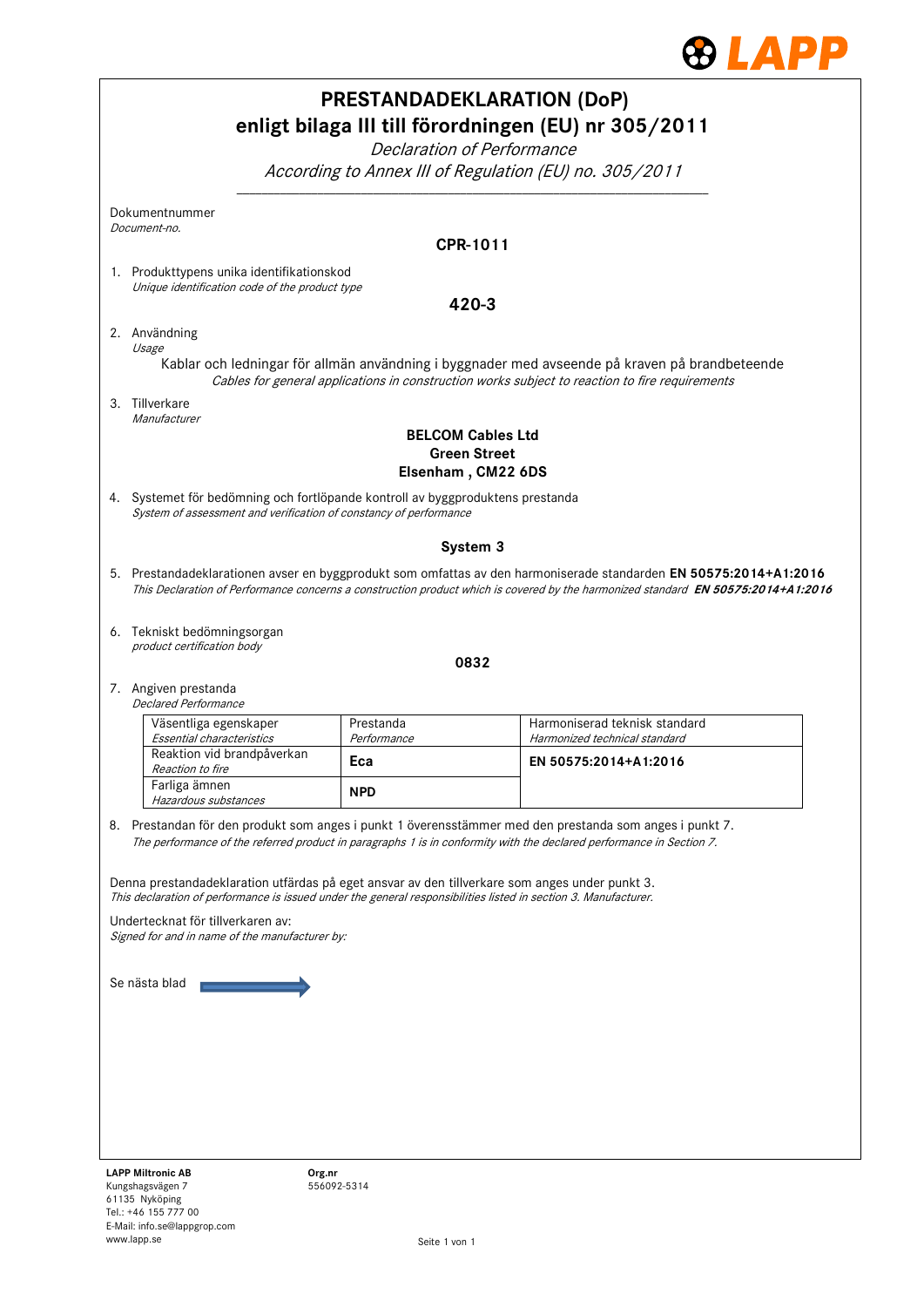

| <b>PRESTANDADEKLARATION (DoP)</b><br>enligt bilaga III till förordningen (EU) nr 305/2011 |                                                                                                                                                                                                                                                        |                          |                                                                                                                                                                                                                                 |  |  |  |  |  |  |
|-------------------------------------------------------------------------------------------|--------------------------------------------------------------------------------------------------------------------------------------------------------------------------------------------------------------------------------------------------------|--------------------------|---------------------------------------------------------------------------------------------------------------------------------------------------------------------------------------------------------------------------------|--|--|--|--|--|--|
| Declaration of Performance                                                                |                                                                                                                                                                                                                                                        |                          |                                                                                                                                                                                                                                 |  |  |  |  |  |  |
| According to Annex III of Regulation (EU) no. 305/2011                                    |                                                                                                                                                                                                                                                        |                          |                                                                                                                                                                                                                                 |  |  |  |  |  |  |
|                                                                                           | Dokumentnummer                                                                                                                                                                                                                                         |                          |                                                                                                                                                                                                                                 |  |  |  |  |  |  |
|                                                                                           | Document-no.<br><b>CPR-1011</b>                                                                                                                                                                                                                        |                          |                                                                                                                                                                                                                                 |  |  |  |  |  |  |
|                                                                                           | 1. Produkttypens unika identifikationskod                                                                                                                                                                                                              |                          |                                                                                                                                                                                                                                 |  |  |  |  |  |  |
|                                                                                           | Unique identification code of the product type<br>420-3                                                                                                                                                                                                |                          |                                                                                                                                                                                                                                 |  |  |  |  |  |  |
|                                                                                           | 2. Användning                                                                                                                                                                                                                                          |                          |                                                                                                                                                                                                                                 |  |  |  |  |  |  |
|                                                                                           | Usage<br>Kablar och ledningar för allmän användning i byggnader med avseende på kraven på brandbeteende                                                                                                                                                |                          |                                                                                                                                                                                                                                 |  |  |  |  |  |  |
|                                                                                           | Cables for general applications in construction works subject to reaction to fire requirements<br>3. Tillverkare                                                                                                                                       |                          |                                                                                                                                                                                                                                 |  |  |  |  |  |  |
|                                                                                           | Manufacturer                                                                                                                                                                                                                                           |                          | <b>BELCOM Cables Ltd</b>                                                                                                                                                                                                        |  |  |  |  |  |  |
|                                                                                           | <b>Green Street</b><br>Elsenham, CM22 6DS                                                                                                                                                                                                              |                          |                                                                                                                                                                                                                                 |  |  |  |  |  |  |
|                                                                                           | 4. Systemet för bedömning och fortlöpande kontroll av byggproduktens prestanda<br>System of assessment and verification of constancy of performance                                                                                                    |                          |                                                                                                                                                                                                                                 |  |  |  |  |  |  |
|                                                                                           |                                                                                                                                                                                                                                                        |                          | System 3                                                                                                                                                                                                                        |  |  |  |  |  |  |
|                                                                                           | 5. Prestandadeklarationen avser en byggprodukt som omfattas av den harmoniserade standarden EN 50575:2014+A1:2016<br>This Declaration of Performance concerns a construction product which is covered by the harmonized standard EN 50575:2014+A1:2016 |                          |                                                                                                                                                                                                                                 |  |  |  |  |  |  |
|                                                                                           |                                                                                                                                                                                                                                                        |                          |                                                                                                                                                                                                                                 |  |  |  |  |  |  |
|                                                                                           | 6. Tekniskt bedömningsorgan<br>product certification body                                                                                                                                                                                              |                          |                                                                                                                                                                                                                                 |  |  |  |  |  |  |
|                                                                                           |                                                                                                                                                                                                                                                        |                          | 0832                                                                                                                                                                                                                            |  |  |  |  |  |  |
|                                                                                           | 7. Angiven prestanda<br><b>Declared Performance</b>                                                                                                                                                                                                    |                          |                                                                                                                                                                                                                                 |  |  |  |  |  |  |
|                                                                                           | Väsentliga egenskaper<br>Essential characteristics                                                                                                                                                                                                     | Prestanda<br>Performance | Harmoniserad teknisk standard<br>Harmonized technical standard                                                                                                                                                                  |  |  |  |  |  |  |
|                                                                                           | Reaktion vid brandpåverkan<br>Reaction to fire                                                                                                                                                                                                         | Eca                      | EN 50575:2014+A1:2016                                                                                                                                                                                                           |  |  |  |  |  |  |
|                                                                                           | Farliga ämnen<br>Hazardous substances                                                                                                                                                                                                                  | <b>NPD</b>               |                                                                                                                                                                                                                                 |  |  |  |  |  |  |
|                                                                                           |                                                                                                                                                                                                                                                        |                          | 8. Prestandan för den produkt som anges i punkt 1 överensstämmer med den prestanda som anges i punkt 7.<br>The performance of the referred product in paragraphs 1 is in conformity with the declared performance in Section 7. |  |  |  |  |  |  |
|                                                                                           |                                                                                                                                                                                                                                                        |                          |                                                                                                                                                                                                                                 |  |  |  |  |  |  |
|                                                                                           | Denna prestandadeklaration utfärdas på eget ansvar av den tillverkare som anges under punkt 3.<br>This declaration of performance is issued under the general responsibilities listed in section 3. Manufacturer.                                      |                          |                                                                                                                                                                                                                                 |  |  |  |  |  |  |
|                                                                                           | Undertecknat för tillverkaren av:<br>Signed for and in name of the manufacturer by:                                                                                                                                                                    |                          |                                                                                                                                                                                                                                 |  |  |  |  |  |  |
|                                                                                           |                                                                                                                                                                                                                                                        |                          |                                                                                                                                                                                                                                 |  |  |  |  |  |  |
|                                                                                           | Se nästa blad                                                                                                                                                                                                                                          |                          |                                                                                                                                                                                                                                 |  |  |  |  |  |  |
|                                                                                           |                                                                                                                                                                                                                                                        |                          |                                                                                                                                                                                                                                 |  |  |  |  |  |  |
|                                                                                           |                                                                                                                                                                                                                                                        |                          |                                                                                                                                                                                                                                 |  |  |  |  |  |  |
|                                                                                           |                                                                                                                                                                                                                                                        |                          |                                                                                                                                                                                                                                 |  |  |  |  |  |  |
|                                                                                           |                                                                                                                                                                                                                                                        |                          |                                                                                                                                                                                                                                 |  |  |  |  |  |  |
|                                                                                           |                                                                                                                                                                                                                                                        |                          |                                                                                                                                                                                                                                 |  |  |  |  |  |  |
|                                                                                           | <b>LAPP Miltronic AB</b><br>Org.nr<br>Kungshagsvägen 7                                                                                                                                                                                                 | 556092-5314              |                                                                                                                                                                                                                                 |  |  |  |  |  |  |